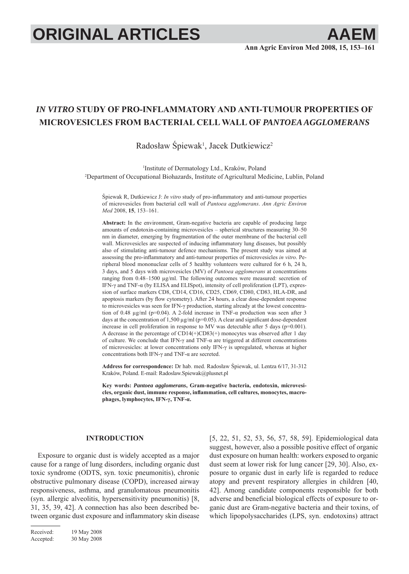# **ORIGINAL ARTICLES AAEM**

## *IN VITRO* **STUDY OF PRO-INFLAMMATORY AND ANTI-TUMOUR PROPERTIES OF MICROVESICLES FROM BACTERIAL CELL WALL OF** *PANTOEA AGGLOMERANS*

### Radosław Śpiewak<sup>1</sup>, Jacek Dutkiewicz<sup>2</sup>

1 Institute of Dermatology Ltd., Kraków, Poland 2 Department of Occupational Biohazards, Institute of Agricultural Medicine, Lublin, Poland

Śpiewak R, Dutkiewicz J: *In vitro* study of pro-inflammatory and anti-tumour properties of microvesicles from bacterial cell wall of *Pantoea agglomerans*. *Ann Agric Environ Med* 2008, **15**, 153–161.

**Abstract:** In the environment, Gram-negative bacteria are capable of producing large amounts of endotoxin-containing microvesicles – spherical structures measuring 30–50 nm in diameter, emerging by fragmentation of the outer membrane of the bacterial cell wall. Microvesicles are suspected of inducing inflammatory lung diseases, but possibly also of stimulating anti-tumour defence mechanisms. The present study was aimed at assessing the pro-inflammatory and anti-tumour properties of microvesicles *in vitro*. Peripheral blood mononuclear cells of 5 healthy volunteers were cultured for 6 h, 24 h, 3 days, and 5 days with microvesicles (MV) of *Pantoea agglomerans* at concentrations ranging from 0.48–1500 μg/ml. The following outcomes were measured: secretion of IFN-γ and TNF-α (by ELISA and ELISpot), intensity of cell proliferation (LPT), expression of surface markers CD8, CD14, CD16, CD25, CD69, CD80, CD83, HLA-DR, and apoptosis markers (by flow cytometry). After 24 hours, a clear dose-dependent response to microvesicles was seen for IFN-γ production, starting already at the lowest concentration of 0.48 μg/ml (p=0.04). A 2-fold increase in TNF- $\alpha$  production was seen after 3 days at the concentration of 1,500  $\mu$ g/ml (p=0.05). A clear and significant dose-dependent increase in cell proliferation in response to MV was detectable after 5 days (p=0.001). A decrease in the percentage of CD14(+)CD83(+) monocytes was observed after 1 day of culture. We conclude that IFN-γ and TNF-α are triggered at different concentrations of microvesicles: at lower concentrations only IFN-γ is upregulated, whereas at higher concentrations both IFN-γ and TNF-α are secreted.

**Address for correspondence:** Dr hab. med. Radosław Śpiewak, ul. Lentza 6/17, 31-312 Kraków, Poland. E-mail: Radoslaw.Spiewak@plusnet.pl

**Key words:** *Pantoea agglomerans***, Gram-negative bacteria, endotoxin, microvesi**cles, organic dust, immune response, inflammation, cell cultures, monocytes, macro**phages, lymphocytes, IFN-γ, TNF-α.**

#### **INTRODUCTION**

Exposure to organic dust is widely accepted as a major cause for a range of lung disorders, including organic dust toxic syndrome (ODTS, syn. toxic pneumonitis), chronic obstructive pulmonary disease (COPD), increased airway responsiveness, asthma, and granulomatous pneumonitis (syn. allergic alveolitis, hypersensitivity pneumonitis) [8, 31, 35, 39, 42]. A connection has also been described between organic dust exposure and inflammatory skin disease

Received: 19 May 2008 Accepted: 30 May 2008 [5, 22, 51, 52, 53, 56, 57, 58, 59]. Epidemiological data suggest, however, also a possible positive effect of organic dust exposure on human health: workers exposed to organic dust seem at lower risk for lung cancer [29, 30]. Also, exposure to organic dust in early life is regarded to reduce atopy and prevent respiratory allergies in children [40, 42]. Among candidate components responsible for both adverse and beneficial biological effects of exposure to organic dust are Gram-negative bacteria and their toxins, of which lipopolysaccharides (LPS, syn. endotoxins) attract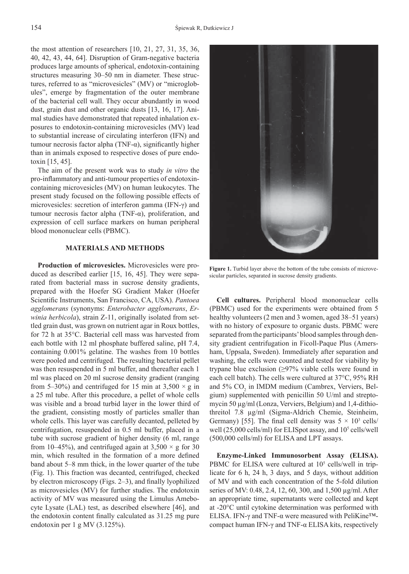the most attention of researchers [10, 21, 27, 31, 35, 36, 40, 42, 43, 44, 64]. Disruption of Gram-negative bacteria produces large amounts of spherical, endotoxin-containing structures measuring 30–50 nm in diameter. These structures, referred to as "microvesicles" (MV) or "microglobules", emerge by fragmentation of the outer membrane of the bacterial cell wall. They occur abundantly in wood dust, grain dust and other organic dusts [13, 16, 17]. Animal studies have demonstrated that repeated inhalation exposures to endotoxin-containing microvesicles (MV) lead to substantial increase of circulating interferon (IFN) and tumour necrosis factor alpha (TNF-α), significantly higher than in animals exposed to respective doses of pure endotoxin [15, 45].

The aim of the present work was to study *in vitro* the pro-inflammatory and anti-tumour properties of endotoxincontaining microvesicles (MV) on human leukocytes. The present study focused on the following possible effects of microvesicles: secretion of interferon gamma (IFN-γ) and tumour necrosis factor alpha (TNF-α), proliferation, and expression of cell surface markers on human peripheral blood mononuclear cells (PBMC).

#### **MATERIALS AND METHODS**

**Production of microvesicles.** Microvesicles were produced as described earlier [15, 16, 45]. They were separated from bacterial mass in sucrose density gradients, prepared with the Hoefer SG Gradient Maker (Hoefer Scientific Instruments, San Francisco, CA, USA). *Pantoea agglomerans* (synonyms: *Enterobacter agglomerans*, *Erwinia herbicola*), strain Z-11, originally isolated from settled grain dust, was grown on nutrient agar in Roux bottles, for 72 h at 35°C. Bacterial cell mass was harvested from each bottle with 12 ml phosphate buffered saline, pH 7.4, containing 0.001% gelatine. The washes from 10 bottles were pooled and centrifuged. The resulting bacterial pellet was then resuspended in 5 ml buffer, and thereafter each 1 ml was placed on 20 ml sucrose density gradient (ranging from 5–30%) and centrifuged for 15 min at  $3,500 \times g$  in a 25 ml tube. After this procedure, a pellet of whole cells was visible and a broad turbid layer in the lower third of the gradient, consisting mostly of particles smaller than whole cells. This layer was carefully decanted, pelleted by centrifugation, resuspended in 0.5 ml buffer, placed in a tube with sucrose gradient of higher density (6 ml, range from 10–45%), and centrifuged again at  $3,500 \times g$  for 30 min, which resulted in the formation of a more defined band about 5–8 mm thick, in the lower quarter of the tube (Fig. 1). This fraction was decanted, centrifuged, checked by electron microscopy (Figs.  $2-3$ ), and finally lyophilized as microvesicles (MV) for further studies. The endotoxin activity of MV was measured using the Limulus Amebocyte Lysate (LAL) test, as described elsewhere [46], and the endotoxin content finally calculated as  $31.25$  mg pure endotoxin per 1 g MV (3.125%).



**Figure 1.** Turbid layer above the bottom of the tube consists of microvesicular particles, separated in sucrose density gradients.

**Cell cultures.** Peripheral blood mononuclear cells (PBMC) used for the experiments were obtained from 5 healthy volunteers (2 men and 3 women, aged 38–51 years) with no history of exposure to organic dusts. PBMC were separated from the participants' blood samples through density gradient centrifugation in Ficoll-Paque Plus (Amersham, Uppsala, Sweden). Immediately after separation and washing, the cells were counted and tested for viability by trypane blue exclusion (≥97% viable cells were found in each cell batch). The cells were cultured at 37°C, 95% RH and  $5\%$  CO<sub>2</sub> in IMDM medium (Cambrex, Verviers, Belgium) supplemented with penicillin 50 U/ml and streptomycin 50 μg/ml (Lonza, Verviers, Belgium) and 1,4-dithiothreitol 7.8 μg/ml (Sigma-Aldrich Chemie, Steinheim, Germany) [55]. The final cell density was  $5 \times 10^3$  cells/ well (25,000 cells/ml) for ELISpot assay, and 10<sup>5</sup> cells/well (500,000 cells/ml) for ELISA and LPT assays.

**Enzyme-Linked Immunosorbent Assay (ELISA).**  PBMC for ELISA were cultured at 10<sup>5</sup> cells/well in triplicate for 6 h, 24 h, 3 days, and 5 days, without addition of MV and with each concentration of the 5-fold dilution series of MV: 0.48, 2.4, 12, 60, 300, and 1,500 μg/ml. After an appropriate time, supernatants were collected and kept at -20°C until cytokine determination was performed with ELISA. IFN-γ and TNF-α were measured with PeliKine™ compact human IFN-γ and TNF-α ELISA kits, respectively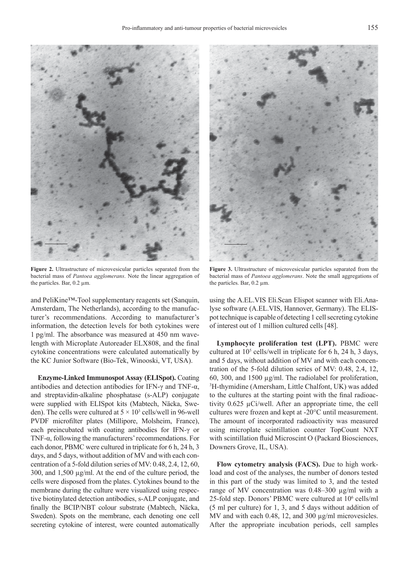

**Figure 2.** Ultrastructure of microvesicular particles separated from the bacterial mass of *Pantoea agglomerans*. Note the linear aggregation of the particles. Bar, 0.2 μm.

and PeliKine™-Tool supplementary reagents set (Sanquin, Amsterdam, The Netherlands), according to the manufacturer's recommendations. According to manufacturer's information, the detection levels for both cytokines were 1 pg/ml. The absorbance was measured at 450 nm wavelength with Microplate Autoreader ELX808, and the final cytokine concentrations were calculated automatically by the KC Junior Software (Bio-Tek, Winooski, VT, USA).

**Enzyme-Linked Immunospot Assay (ELISpot).** Coating antibodies and detection antibodies for IFN- $\gamma$  and TNF- $\alpha$ , and streptavidin-alkaline phosphatase (s-ALP) conjugate were supplied with ELISpot kits (Mabtech, Näcka, Sweden). The cells were cultured at  $5 \times 10^3$  cells/well in 96-well PVDF microfilter plates (Millipore, Molsheim, France), each preincubated with coating antibodies for IFN-γ or TNF-α, following the manufacturers' recommendations. For each donor, PBMC were cultured in triplicate for 6 h, 24 h, 3 days, and 5 days, without addition of MV and with each concentration of a 5-fold dilution series of MV: 0.48, 2.4, 12, 60, 300, and 1,500 μg/ml. At the end of the culture period, the cells were disposed from the plates. Cytokines bound to the membrane during the culture were visualized using respective biotinylated detection antibodies, s-ALP conjugate, and finally the BCIP/NBT colour substrate (Mabtech, Näcka, Sweden). Spots on the membrane, each denoting one cell secreting cytokine of interest, were counted automatically



**Figure 3.** Ultrastructure of microvesicular particles separated from the bacterial mass of *Pantoea agglomerans*. Note the small aggregations of the particles. Bar, 0.2 μm.

using the A.EL.VIS Eli.Scan Elispot scanner with Eli.Analyse software (A.EL.VIS, Hannover, Germany). The ELISpot technique is capable of detecting 1 cell secreting cytokine of interest out of 1 million cultured cells [48].

**Lymphocyte proliferation test (LPT).** PBMC were cultured at  $10<sup>5</sup>$  cells/well in triplicate for 6 h, 24 h, 3 days, and 5 days, without addition of MV and with each concentration of the 5-fold dilution series of MV: 0.48, 2.4, 12, 60, 300, and 1500 μg/ml. The radiolabel for proliferation, 3 H-thymidine (Amersham, Little Chalfont, UK) was added to the cultures at the starting point with the final radioactivity 0.625 μCi/well. After an appropriate time, the cell cultures were frozen and kept at -20°C until measurement. The amount of incorporated radioactivity was measured using microplate scintillation counter TopCount NXT with scintillation fluid Microscint O (Packard Biosciences, Downers Grove, IL, USA).

**Flow cytometry analysis (FACS).** Due to high workload and cost of the analyses, the number of donors tested in this part of the study was limited to 3, and the tested range of MV concentration was 0.48–300 μg/ml with a 25-fold step. Donors' PBMC were cultured at 106 cells/ml (5 ml per culture) for 1, 3, and 5 days without addition of MV and with each 0.48, 12, and 300 μg/ml microvesicles. After the appropriate incubation periods, cell samples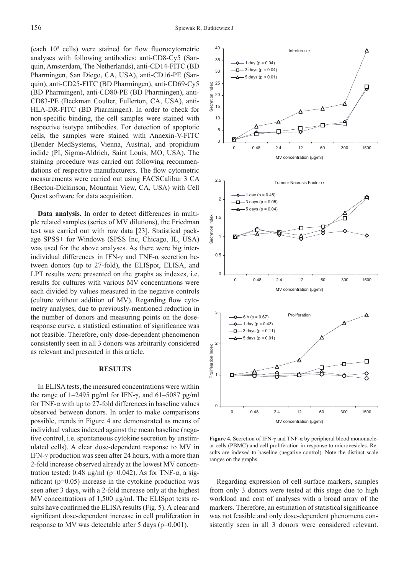(each  $10<sup>5</sup>$  cells) were stained for flow fluorocytometric analyses with following antibodies: anti-CD8-Cy5 (Sanquin, Amsterdam, The Netherlands), anti-CD14-FITC (BD Pharmingen, San Diego, CA, USA), anti-CD16-PE (Sanquin), anti-CD25-FITC (BD Pharmingen), anti-CD69-Cy5 (BD Pharmingen), anti-CD80-PE (BD Pharmingen), anti-CD83-PE (Beckman Coulter, Fullerton, CA, USA), anti-HLA-DR-FITC (BD Pharmingen). In order to check for non-specific binding, the cell samples were stained with respective isotype antibodies. For detection of apoptotic cells, the samples were stained with Annexin-V-FITC (Bender MedSystems, Vienna, Austria), and propidium iodide (PI, Sigma-Aldrich, Saint Louis, MO, USA). The staining procedure was carried out following recommendations of respective manufacturers. The flow cytometric measurements were carried out using FACSCalibur 3 CA (Becton-Dickinson, Mountain View, CA, USA) with Cell Quest software for data acquisition.

**Data analysis.** In order to detect differences in multiple related samples (series of MV dilutions), the Friedman test was carried out with raw data [23]. Statistical package SPSS+ for Windows (SPSS Inc, Chicago, IL, USA) was used for the above analyses. As there were big interindividual differences in IFN-γ and TNF- $α$  secretion between donors (up to 27-fold), the ELISpot, ELISA, and LPT results were presented on the graphs as indexes, i.e. results for cultures with various MV concentrations were each divided by values measured in the negative controls (culture without addition of  $MV$ ). Regarding flow cytometry analyses, due to previously-mentioned reduction in the number of donors and measuring points on the doseresponse curve, a statistical estimation of significance was not feasible. Therefore, only dose-dependent phenomenon consistently seen in all 3 donors was arbitrarily considered as relevant and presented in this article.

#### **RESULTS**

In ELISA tests, the measured concentrations were within the range of 1–2495 pg/ml for IFN-γ, and 61–5087 pg/ml for TNF-α with up to 27-fold differences in baseline values observed between donors. In order to make comparisons possible, trends in Figure 4 are demonstrated as means of individual values indexed against the mean baseline (negative control, i.e. spontaneous cytokine secretion by unstimulated cells). A clear dose-dependent response to MV in IFN-γ production was seen after 24 hours, with a more than 2-fold increase observed already at the lowest MV concentration tested: 0.48 μg/ml (p=0.042). As for TNF-α, a significant ( $p=0.05$ ) increase in the cytokine production was seen after 3 days, with a 2-fold increase only at the highest MV concentrations of 1,500 μg/ml. The ELISpot tests results have confirmed the ELISA results (Fig. 5). A clear and significant dose-dependent increase in cell proliferation in response to MV was detectable after 5 days (p=0.001).



**Figure 4.** Secretion of IFN-γ and TNF-α by peripheral blood mononuclear cells (PBMC) and cell proliferation in response to microvesicles. Results are indexed to baseline (negative control). Note the distinct scale ranges on the graphs.

Regarding expression of cell surface markers, samples from only 3 donors were tested at this stage due to high workload and cost of analyses with a broad array of the markers. Therefore, an estimation of statistical significance was not feasible and only dose-dependent phenomena consistently seen in all 3 donors were considered relevant.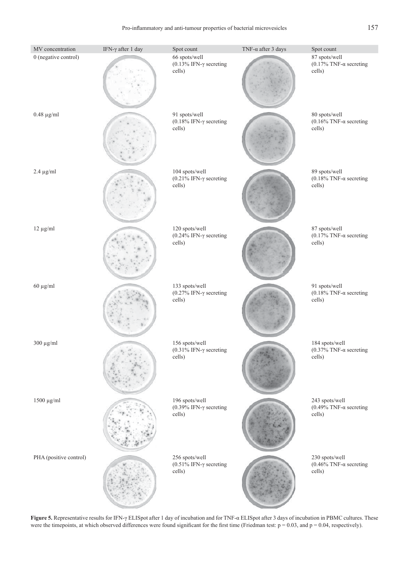Pro-inflammatory and anti-tumour properties of bacterial microvesicles 157

| MV concentration       | IFN- $\gamma$ after 1 day | Spot count                                                 | TNF- $\alpha$ after 3 days | Spot count                                                 |
|------------------------|---------------------------|------------------------------------------------------------|----------------------------|------------------------------------------------------------|
| 0 (negative control)   |                           | 66 spots/well<br>(0.13% IFN- $\gamma$ secreting<br>cells)  |                            | 87 spots/well<br>(0.17% TNF- $\alpha$ secreting<br>cells)  |
| $0.48 \mu g/ml$        |                           | 91 spots/well<br>(0.18% IFN- $\gamma$ secreting<br>cells)  |                            | 80 spots/well<br>(0.16% TNF- $\alpha$ secreting<br>cells)  |
| $2.4 \mu g/ml$         |                           | 104 spots/well<br>(0.21% IFN- $\gamma$ secreting<br>cells) |                            | 89 spots/well<br>(0.18% TNF- $\alpha$ secreting<br>cells)  |
| $12 \mu g/ml$          |                           | 120 spots/well<br>(0.24% IFN- $\gamma$ secreting<br>cells) |                            | 87 spots/well<br>(0.17% TNF- $\alpha$ secreting<br>cells)  |
| $60 \mu g/ml$          |                           | 133 spots/well<br>(0.27% IFN- $\gamma$ secreting<br>cells) |                            | 91 spots/well<br>(0.18% TNF- $\alpha$ secreting<br>cells)  |
| $300 \mu g/ml$         |                           | 156 spots/well<br>(0.31% IFN- $\gamma$ secreting<br>cells) |                            | 184 spots/well<br>(0.37% TNF- $\alpha$ secreting<br>cells) |
| $1500 \mu g/ml$        |                           | 196 spots/well<br>(0.39% IFN- $\gamma$ secreting<br>cells) |                            | 243 spots/well<br>(0.49% TNF- $\alpha$ secreting<br>cells) |
| PHA (positive control) |                           | 256 spots/well<br>(0.51% IFN- $\gamma$ secreting<br>cells) |                            | 230 spots/well<br>(0.46% TNF- $\alpha$ secreting<br>cells) |

. **Figure 5.** Representative results for IFN-γ ELISpot after 1 day of incubation and for TNF-α ELISpot after 3 days of incubation in PBMC cultures. These were the timepoints, at which observed differences were found significant for the first time (Friedman test:  $p = 0.03$ , and  $p = 0.04$ , respectively).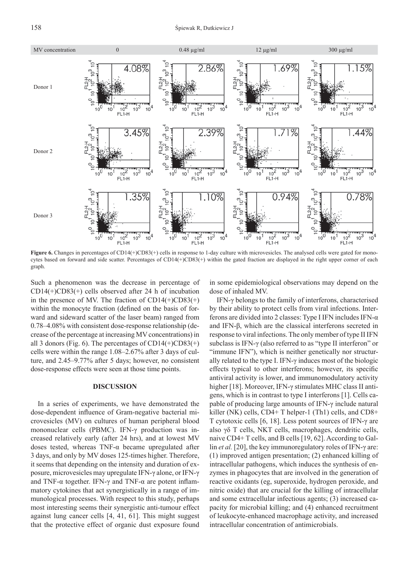

**Figure 6.** Changes in percentages of CD14(+)CD83(+) cells in response to 1-day culture with microvesicles. The analysed cells were gated for monocytes based on forward and side scatter. Percentages of CD14(+)CD83(+) within the gated fraction are displayed in the right upper corner of each graph.

Such a phenomenon was the decrease in percentage of  $CD14(+)CD83(+)$  cells observed after 24 h of incubation in the presence of MV. The fraction of  $CD14(+)CD83(+)$ within the monocyte fraction (defined on the basis of forward and sideward scatter of the laser beam) ranged from 0.78–4.08% with consistent dose-response relationship (decrease of the percentage at increasing MV concentrations) in all 3 donors (Fig. 6). The percentages of  $CD14(+)CD83(+)$ cells were within the range 1.08–2.67% after 3 days of culture, and 2.45–9.77% after 5 days; however, no consistent dose-response effects were seen at those time points.

#### **DISCUSSION**

In a series of experiments, we have demonstrated the dose-dependent influence of Gram-negative bacterial microvesicles (MV) on cultures of human peripheral blood mononuclear cells (PBMC). IFN-γ production was increased relatively early (after 24 hrs), and at lowest MV doses tested, whereas TNF-α became upregulated after 3 days, and only by MV doses 125-times higher. Therefore, it seems that depending on the intensity and duration of exposure, microvesicles may upregulate IFN-γ alone, or IFN-γ and TNF- $\alpha$  together. IFN- $\gamma$  and TNF- $\alpha$  are potent inflammatory cytokines that act synergistically in a range of immunological processes. With respect to this study, perhaps most interesting seems their synergistic anti-tumour effect against lung cancer cells [4, 41, 61]. This might suggest that the protective effect of organic dust exposure found

in some epidemiological observations may depend on the dose of inhaled MV.

IFN-γ belongs to the family of interferons, characterised by their ability to protect cells from viral infections. Interferons are divided into 2 classes: Type I IFN includes IFN-α and IFN-β, which are the classical interferons secreted in response to viral infections. The only member of type II IFN subclass is IFN-γ (also referred to as "type II interferon" or "immune IFN"), which is neither genetically nor structurally related to the type I. IFN-γ induces most of the biologic effects typical to other interferons; however, its specific antiviral activity is lower, and immunomodulatory activity higher [18]. Moreover, IFN-γ stimulates MHC class II antigens, which is in contrast to type I interferons [1]. Cells capable of producing large amounts of IFN-γ include natural killer (NK) cells, CD4+ T helper-1 (Th1) cells, and CD8+ T cytotoxic cells [6, 18]. Less potent sources of IFN-γ are also γδ T cells, NKT cells, macrophages, dendritic cells, naive CD4+ T cells, and B cells [19, 62]. According to Gallin *et al.* [20], the key immunoregulatory roles of IFN-γ are: (1) improved antigen presentation; (2) enhanced killing of intracellular pathogens, which induces the synthesis of enzymes in phagocytes that are involved in the generation of reactive oxidants (eg, superoxide, hydrogen peroxide, and nitric oxide) that are crucial for the killing of intracellular and some extracellular infectious agents; (3) increased capacity for microbial killing; and (4) enhanced recruitment of leukocyte-enhanced macrophage activity, and increased intracellular concentration of antimicrobials.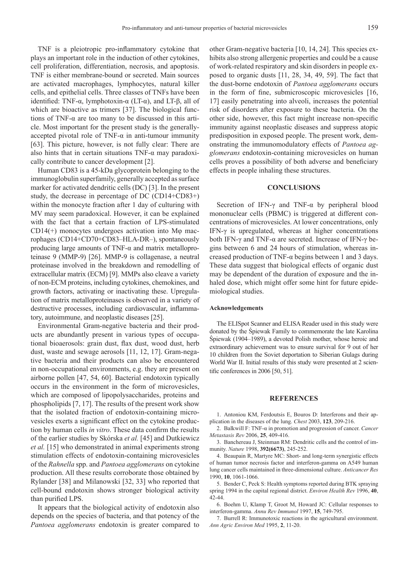TNF is a pleiotropic pro-inflammatory cytokine that plays an important role in the induction of other cytokines, cell proliferation, differentiation, necrosis, and apoptosis. TNF is either membrane-bound or secreted. Main sources are activated macrophages, lymphocytes, natural killer cells, and epithelial cells. Three classes of TNFs have been identified: TNF-α, lymphotoxin-α (LT-α), and LT-β, all of which are bioactive as trimers [37]. The biological functions of TNF-α are too many to be discussed in this article. Most important for the present study is the generallyaccepted pivotal role of TNF- $\alpha$  in anti-tumour immunity [63]. This picture, however, is not fully clear: There are also hints that in certain situations  $TNF-\alpha$  may paradoxically contribute to cancer development [2].

Human CD83 is a 45-kDa glycoprotein belonging to the immunoglobulin superfamily, generally accepted as surface marker for activated dendritic cells (DC) [3]. In the present study, the decrease in percentage of DC (CD14+CD83+) within the monocyte fraction after 1 day of culturing with MV may seem paradoxical. However, it can be explained with the fact that a certain fraction of LPS-stimulated CD14( $+$ ) monocytes undergoes activation into M $\varphi$  macrophages (CD14+CD70+CD83–HLA-DR–), spontaneously producing large amounts of TNF- $\alpha$  and matrix metalloproteinase 9 (MMP-9) [26]. MMP-9 is collagenase, a neutral proteinase involved in the breakdown and remodelling of extracellular matrix (ECM) [9]. MMPs also cleave a variety of non-ECM proteins, including cytokines, chemokines, and growth factors, activating or inactivating these. Upregulation of matrix metalloproteinases is observed in a variety of destructive processes, including cardiovascular, inflammatory, autoimmune, and neoplastic diseases [25].

Environmental Gram-negative bacteria and their products are abundantly present in various types of occupational bioaerosols: grain dust, flax dust, wood dust, herb dust, waste and sewage aerosols [11, 12, 17]. Gram-negative bacteria and their products can also be encountered in non-occupational environments, e.g. they are present on airborne pollen [47, 54, 60]. Bacterial endotoxin typically occurs in the environment in the form of microvesicles, which are composed of lipopolysaccharides, proteins and phospholipids [7, 17]. The results of the present work show that the isolated fraction of endotoxin-containing microvesicles exerts a significant effect on the cytokine production by human cells *in vitro*. These data confirm the results of the earlier studies by Skórska *et al.* [45] and Dutkiewicz *et al.* [15] who demonstrated in animal experiments strong stimulation effects of endotoxin-containing microvesicles of the *Rahnella* spp. and *Pantoea agglomerans* on cytokine production. All these results corroborate those obtained by Rylander [38] and Milanowski [32, 33] who reported that cell-bound endotoxin shows stronger biological activity than purified LPS.

It appears that the biological activity of endotoxin also depends on the species of bacteria, and that potency of the *Pantoea agglomerans* endotoxin is greater compared to

other Gram-negative bacteria [10, 14, 24]. This species exhibits also strong allergenic properties and could be a cause of work-related respiratory and skin disorders in people exposed to organic dusts [11, 28, 34, 49, 59]. The fact that the dust-borne endotoxin of *Pantoea agglomerans* occurs in the form of fine, submicroscopic microvesicles  $[16, 16]$ 17] easily penetrating into alveoli, increases the potential risk of disorders after exposure to these bacteria. On the other side, however, this fact might increase non-specific immunity against neoplastic diseases and suppress atopic predisposition in exposed people. The present work, demonstrating the immunomodulatory effects of *Pantoea agglomerans* endotoxin-containing microvesicles on human cells proves a possibility of both adverse and beneficiary effects in people inhaling these structures.

#### **CONCLUSIONS**

Secretion of IFN-γ and TNF-α by peripheral blood mononuclear cells (PBMC) is triggered at different concentrations of microvesicles. At lower concentrations, only IFN-γ is upregulated, whereas at higher concentrations both IFN-γ and TNF-α are secreted. Increase of IFN-γ begins between 6 and 24 hours of stimulation, whereas increased production of TNF- $\alpha$  begins between 1 and 3 days. These data suggest that biological effects of organic dust may be dependent of the duration of exposure and the inhaled dose, which might offer some hint for future epidemiological studies.

#### **Acknowledgements**

The ELISpot Scanner and ELISA Reader used in this study were donated by the Śpiewak Family to commemorate the late Karolina Śpiewak (1904–1989), a devoted Polish mother, whose heroic and extraordinary achievement was to ensure survival for 9 out of her 10 children from the Soviet deportation to Siberian Gulags during World War II. Initial results of this study were presented at 2 scientific conferences in  $2006$  [50, 51].

#### **REFERENCES**

1. Antoniou KM, Ferdoutsis E, Bouros D: Interferons and their application in the diseases of the lung. *Chest* 2003, **123**, 209-216.

2. Balkwill F: TNF-α in promotion and progression of cancer. *Cancer Metastasis Rev* 2006, **25**, 409-416.

3. Banchereau J, Steinman RM: Dendritic cells and the control of immunity. *Nature* 1998, **392(6673)**, 245-252.

4. Beaupain R, Martyre MC: Short- and long-term synergistic effects of human tumor necrosis factor and interferon-gamma on A549 human lung cancer cells maintained in three-dimensional culture. *Anticancer Res* 1990, **10**, 1061-1066.

5. Bender C, Peck S: Health symptoms reported during BTK spraying spring 1994 in the capital regional district. *Environ Health Rev* 1996, **40**, 42-44.

6. Boehm U, Klamp T, Groot M, Howard JC: Cellular responses to interferon-gamma. *Annu Rev Immunol* 1997, **15**, 749-795.

7. Burrell R: Immunotoxic reactions in the agricultural environment. *Ann Agric Environ Med* 1995, **2**, 11-20.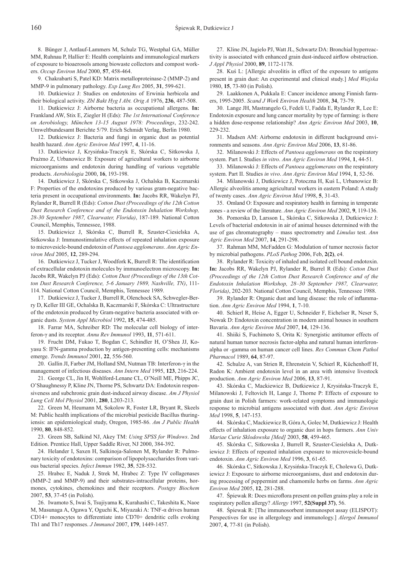8. Bünger J, Antlauf-Lammers M, Schulz TG, Westphal GA, Müller MM, Ruhnau P, Hallier E: Health complaints and immunological markers of exposure to bioaerosols among biowaste collectors and compost workers. *Occup Environ Med* 2000, **57**, 458-464.

9. Chakrabarti S, Patel KD: Matrix metalloproteinase-2 (MMP-2) and MMP-9 in pulmonary pathology. *Exp Lung Res* 2005, **31**, 599-621.

10. Dutkiewicz J: Studies on endotoxins of Erwinia herbicola and their biological activity. *Zbl Bakt Hyg I Abt. Orig A* 1976, **236**, 487-508.

11. Dutkiewicz J: Airborne bacteria as occupational allergens. **In:**  Frankland AW, Stix E, Ziegler H (Eds): *The 1st International Conference on Aerobiology, München 13-15 August 1978: Proceedings*, 232-242. Umweltbundesamt Berichte 5/79. Erich Schmidt Verlag, Berlin 1980.

12. Dutkiewicz J: Bacteria and fungi in organic dust as potential health hazard. *Ann Agric Environ Med* 1997, **4**, 11-16.

13. Dutkiewicz J, Krysińska-Traczyk E, Skórska C, Sitkowska J, Prażmo Z, Urbanowicz B: Exposure of agricultural workers to airborne microorganisms and endotoxin during handling of various vegetable products. *Aerobiologia* 2000, **16**, 193-198.

14. Dutkiewicz J, Skórska C, Sitkowska J, Ochalska B, Kaczmarski F: Properties of the endotoxins produced by various gram-negative bacteria present in occupational environments. **In:** Jacobs RR, Wakelyn PJ, Rylander R, Burrell R (Eds): *Cotton Dust (Proceedings of the 12th Cotton Dust Research Conference and of the Endotoxin Inhalation Workshop, 28-30 September 1987, Clearwater, Florida)*, 187-189. National Cotton Council, Memphis, Tennessee, 1988.

15. Dutkiewicz J, Skórska C, Burrell R, Szuster-Ciesielska A, Sitkowska J: Immunostimulative effects of repeated inhalation exposure to microvesicle-bound endotoxin of *Pantoea agglomerans*. *Ann Agric Environ Med* 2005, **12**, 289-294.

16. Dutkiewicz J, Tucker J, Woodfork K, Burrell R: The identification of extracellular endotoxin molecules by immunoelectron microscopy. **In:** Jacobs RR, Wakelyn PJ (Eds): *Cotton Dust (Proceedings of the 13th Cotton Dust Research Conference, 5-6 January 1989, Nashville, TN)*, 111- 114. National Cotton Council, Memphis, Tennessee 1989.

17. Dutkiewicz J, Tucker J, Burrell R, Olenchock SA, Schwegler-Berry D, Keller III GE, Ochalska B, Kaczmarski F, Skórska C: Ultrastructure of the endotoxin produced by Gram-negative bacteria associated with organic dusts. *System Appl Microbiol* 1992, **15**, 474-485.

18. Farrar MA, Schreiber RD: The molecular cell biology of interferon-γ and its receptor. *Annu Rev Immunol* 1993, **11**, 571-611.

19. Frucht DM, Fukao T, Bogdan C, Schindler H, O'Shea JJ, Koyasu S: IFN-gamma production by antigen-presenting cells: mechanisms emerge. *Trends Immunol* 2001, **22**, 556-560.

20. Gallin JI, Farber JM, Holland SM, Nutman TB: Interferon-γ in the management of infectious diseases. *Ann Intern Med* 1995, **123**, 216-224.

21. George CL, Jin H, Wohlford-Lenane CL, O'Neill ME, Phipps JC, O'Shaughnessy P, Kline JN, Thorne PS, Schwartz DA: Endotoxin responsiveness and subchronic grain dust-induced airway disease. *Am J Physiol Lung Cell Mol Physiol* 2001, **280**, L203-213.

22. Green M, Heumann M, Sokolow R, Foster LR, Bryant R, Skeels M: Public health implications of the microbial pesticide Bacillus thuringiensis: an epidemiological study, Oregon, 1985-86. *Am J Public Health* 1990, **80**, 848-852.

23. Green SB, Salkind NJ, Akey TM: *Using SPSS for Windows*. 2nd Edition. Prentice Hall, Upper Saddle River, NJ 2000, 384-392.

24. Helander I, Saxen H, Salkinoja-Salonen M, Rylander R: Pulmonary toxicity of endotoxins: comparison of lipopolysaccharides from various bacterial species. *Infect Immun* 1982, **35**, 528-532.

25. Hrabec E, Naduk J, Strek M, Hrabec Z: Type IV collagenases (MMP-2 and MMP-9) and their substrates-intracellular proteins, hormones, cytokines, chemokines and their receptors. *Postępy Biochem* 2007, **53**, 37-45 (in Polish).

26. Iwamoto S, Iwai S, Tsujiyama K, Kurahashi C, Takeshita K, Naoe M, Masunaga A, Ogawa Y, Oguchi K, Miyazaki A: TNF-α drives human CD14+ monocytes to differentiate into CD70+ dendritic cells evoking Th1 and Th17 responses. *J Immunol* 2007, **179**, 1449-1457.

27. Kline JN, Jagielo PJ, Watt JL, Schwartz DA: Bronchial hyperreactivity is associated with enhanced grain dust-induced airflow obstruction. *J Appl Physiol* 2000, **89**, 1172-1178.

28. Kuś L: [Allergic alveolitis in effect of the exposure to antigens present in grain dust: An experimental and clinical study.] *Med Wiejska*  1980, **15**, 73-80 (in Polish).

29. Laakkonen A, Pukkala E: Cancer incidence among Finnish farmers, 1995-2005. *Scand J Work Environ Health* 2008, **34**, 73-79.

30. Lange JH, Mastrangelo G, Fedeli U, Fadda E, Rylander R, Lee E: Endotoxin exposure and lung cancer mortality by type of farming: is there a hidden dose-response relationship? *Ann Agric Environ Med* 2003, **10**, 229-232.

31. Madsen AM: Airborne endotoxin in different background environments and seasons. *Ann Agric Environ Med* 2006, **13**, 81-86.

32. Milanowski J: Effects of *Pantoea agglomerans* on the respiratory system. Part I. Studies *in vitro*. *Ann Agric Environ Med* 1994, **1**, 44-51.

33. Milanowski J: Effects of *Pantoea agglomerans* on the respiratory system. Part II. Studies *in vivo*. *Ann Agric Environ Med* 1994, **1**, 52-56.

34. Milanowski J, Dutkiewicz J, Potoczna H, Kuś L, Urbanowicz B: Allergic alveolitis among agricultural workers in eastern Poland: A study of twenty cases. *Ann Agric Environ Med* 1998, **5**, 31-43.

35. Omland O: Exposure and respiratory health in farming in temperate zones - a review of the literature. *Ann Agric Environ Med* 2002, **9**, 119-136.

36. Pomorska D, Larsson L, Skórska C, Sitkowska J, Dutkiewicz J: Levels of bacterial endotoxin in air of animal houses determined with the use of gas chromatography – mass spectrometry and *Limulus* test. *Ann Agric Environ Med* 2007, **14**, 291-298.

37. Rahman MM, McFadden G: Modulation of tumor necrosis factor by microbial pathogens. *PLoS Pathog* 2006, Feb, **2(2)**, e4.

38. Rylander R: Toxicity of inhaled and isolated cell bound endotoxin. **In:** Jacobs RR, Wakelyn PJ, Rylander R, Burrel R (Eds): *Cotton Dust (Proceedings of the 12th Cotton Dust Research Conference and of the Endotoxin Inhalation Workshop, 28–30 September 1987, Clearwater, Florida)*, 202-203. National Cotton Council, Memphis, Tennessee 1988.

39. Rylander R: Organic dust and lung disease: the role of inflammation. *Ann Agric Environ Med* 1994, **1**, 7-10.

40. Schierl R, Heise A, Egger U, Schneider F, Eichelser R, Neser S, Nowak D: Endotoxin concentration in modern animal houses in southern Bavaria. *Ann Agric Environ Med* 2007, **14**, 129-136.

41. Shiiki S, Fuchimoto S, Orita K: Synergistic antitumor effects of natural human tumor necrosis factor-alpha and natural human interferonalpha or -gamma on human cancer cell lines. *Res Commun Chem Pathol Pharmacol* 1989, **64**, 87-97.

42. Schulze A, van Strien R, Ehrenstein V, Schierl R, Küchenhoff H, Radon K: Ambient endotoxin level in an area with intensive livestock production. *Ann Agric Environ Med* 2006, **13**, 87-91.

43. Skórska C, Mackiewicz B, Dutkiewicz J, Krysińska-Traczyk E, Milanowski J, Feltovich H, Lange J, Thorne P: Effects of exposure to grain dust in Polish farmers: work-related symptoms and immunologic response to microbial antigens associated with dust. *Ann Agric Environ Med* 1998, **5**, 147-153.

44. Skórska C, Mackiewicz B, Góra A, Golec M, Dutkiewicz J: Health effects of inhalation exposure to organic dust in hops farmers. *Ann Univ Mariae Curie Sklodowska [Med]* 2003, **58**, 459-465.

45. Skórska C, Sitkowska J, Burrell R, Szuster-Ciesielska A, Dutkiewicz J: Effects of repeated inhalation exposure to microvesicle-bound endotoxin. *Ann Agric Environ Med* 1996, **3**, 61-65.

46. Skórska C, Sitkowska J, Krysińska-Traczyk E, Cholewa G, Dutkiewicz J: Exposure to airborne microorganisms, dust and endotoxin during processing of peppermint and chamomile herbs on farms. *Ann Agric Environ Med* 2005, **12**, 281-288.

47. Spiewak R: Does microflora present on pollen grains play a role in respiratory pollen allergy? *Allergy* 1997, **52(Suppl 37)**, 56.

48. Śpiewak R: [The immunosorbent immunospot assay (ELISPOT): Perspectives for use in allergology and immunology.] *Alergol Immunol* 2007, **4**, 77-81 (in Polish).